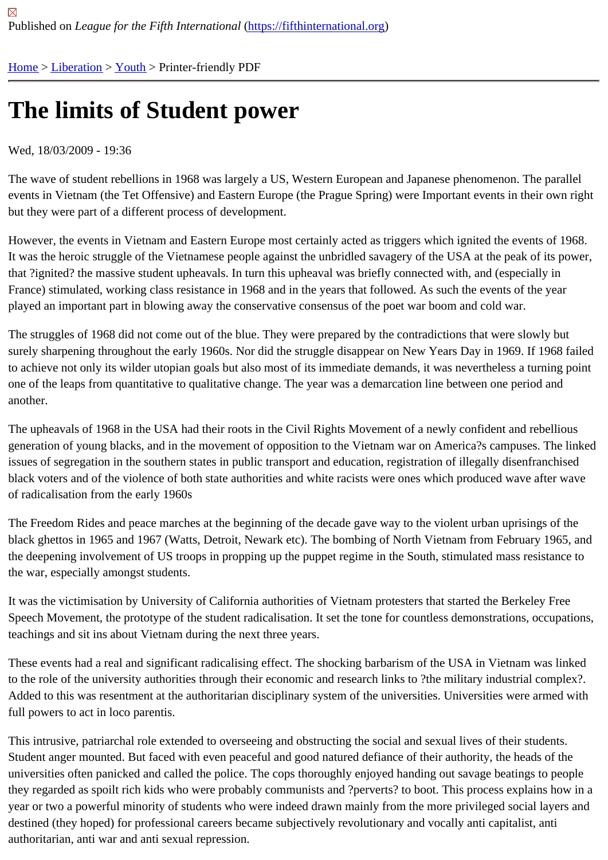## [The](https://fifthinternational.org/) [limits](https://fifthinternational.org/category/10) [of](https://fifthinternational.org/category/10/333) Student power

## Wed, 18/03/2009 - 19:36

The wave of student rebellions in 1968 was largely a US, Western European and Japanese phenomenon. The pai events in Vietnam (the Tet Offensive) and Eastern Europe (the Prague Spring) were Important events in their own but they were part of a different process of development.

However, the events in Vietnam and Eastern Europe most certainly acted as triggers which ignited the events of 1 It was the heroic struggle of the Vietnamese people against the unbridled savagery of the USA at the peak of its po that ?ignited? the massive student upheavals. In turn this upheaval was briefly connected with, and (especially in France) stimulated, working class resistance in 1968 and in the years that followed. As such the events of the year played an important part in blowing away the conservative consensus of the poet war boom and cold war.

The struggles of 1968 did not come out of the blue. They were prepared by the contradictions that were slowly but surely sharpening throughout the early 1960s. Nor did the struggle disappear on New Years Day in 1969. If 1968 f to achieve not only its wilder utopian goals but also most of its immediate demands, it was nevertheless a turning p one of the leaps from quantitative to qualitative change. The year was a demarcation line between one period and another.

The upheavals of 1968 in the USA had their roots in the Civil Rights Movement of a newly confident and rebellious generation of young blacks, and in the movement of opposition to the Vietnam war on America?s campuses. The l issues of segregation in the southern states in public transport and education, registration of illegally disenfranchis black voters and of the violence of both state authorities and white racists were ones which produced wave after w of radicalisation from the early 1960s

The Freedom Rides and peace marches at the beginning of the decade gave way to the violent urban uprisings of black ghettos in 1965 and 1967 (Watts, Detroit, Newark etc). The bombing of North Vietnam from February 1965, the deepening involvement of US troops in propping up the puppet regime in the South, stimulated mass resistanc the war, especially amongst students.

It was the victimisation by University of California authorities of Vietnam protesters that started the Berkeley Free Speech Movement, the prototype of the student radicalisation. It set the tone for countless demonstrations, occupa teachings and sit ins about Vietnam during the next three years.

These events had a real and significant radicalising effect. The shocking barbarism of the USA in Vietnam was link to the role of the university authorities through their economic and research links to ?the military industrial complex Added to this was resentment at the authoritarian disciplinary system of the universities. Universities were armed w full powers to act in loco parentis.

This intrusive, patriarchal role extended to overseeing and obstructing the social and sexual lives of their students. Student anger mounted. But faced with even peaceful and good natured defiance of their authority, the heads of th universities often panicked and called the police. The cops thoroughly enjoyed handing out savage beatings to peo they regarded as spoilt rich kids who were probably communists and ?perverts? to boot. This process explains ho year or two a powerful minority of students who were indeed drawn mainly from the more privileged social layers a destined (they hoped) for professional careers became subjectively revolutionary and vocally anti capitalist, anti authoritarian, anti war and anti sexual repression.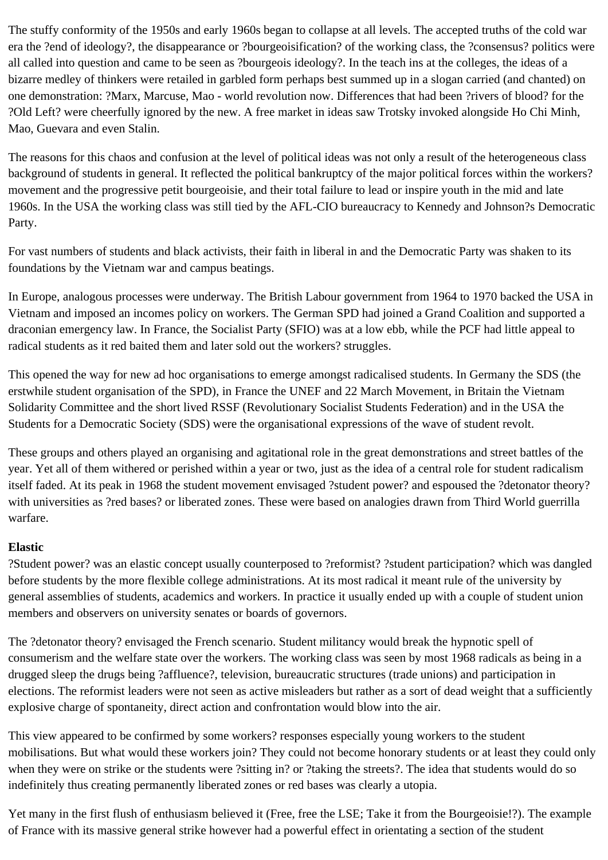The stuffy conformity of the 1950s and early 1960s began to collapse at all levels. The accepted truths of the cold war era the ?end of ideology?, the disappearance or ?bourgeoisification? of the working class, the ?consensus? politics were all called into question and came to be seen as ?bourgeois ideology?. In the teach ins at the colleges, the ideas of a bizarre medley of thinkers were retailed in garbled form perhaps best summed up in a slogan carried (and chanted) on one demonstration: ?Marx, Marcuse, Mao - world revolution now. Differences that had been ?rivers of blood? for the ?Old Left? were cheerfully ignored by the new. A free market in ideas saw Trotsky invoked alongside Ho Chi Minh, Mao, Guevara and even Stalin.

The reasons for this chaos and confusion at the level of political ideas was not only a result of the heterogeneous class background of students in general. It reflected the political bankruptcy of the major political forces within the workers? movement and the progressive petit bourgeoisie, and their total failure to lead or inspire youth in the mid and late 1960s. In the USA the working class was still tied by the AFL-CIO bureaucracy to Kennedy and Johnson?s Democratic Party.

For vast numbers of students and black activists, their faith in liberal in and the Democratic Party was shaken to its foundations by the Vietnam war and campus beatings.

In Europe, analogous processes were underway. The British Labour government from 1964 to 1970 backed the USA in Vietnam and imposed an incomes policy on workers. The German SPD had joined a Grand Coalition and supported a draconian emergency law. In France, the Socialist Party (SFIO) was at a low ebb, while the PCF had little appeal to radical students as it red baited them and later sold out the workers? struggles.

This opened the way for new ad hoc organisations to emerge amongst radicalised students. In Germany the SDS (the erstwhile student organisation of the SPD), in France the UNEF and 22 March Movement, in Britain the Vietnam Solidarity Committee and the short lived RSSF (Revolutionary Socialist Students Federation) and in the USA the Students for a Democratic Society (SDS) were the organisational expressions of the wave of student revolt.

These groups and others played an organising and agitational role in the great demonstrations and street battles of the year. Yet all of them withered or perished within a year or two, just as the idea of a central role for student radicalism itself faded. At its peak in 1968 the student movement envisaged ?student power? and espoused the ?detonator theory? with universities as ?red bases? or liberated zones. These were based on analogies drawn from Third World guerrilla warfare.

## **Elastic**

?Student power? was an elastic concept usually counterposed to ?reformist? ?student participation? which was dangled before students by the more flexible college administrations. At its most radical it meant rule of the university by general assemblies of students, academics and workers. In practice it usually ended up with a couple of student union members and observers on university senates or boards of governors.

The ?detonator theory? envisaged the French scenario. Student militancy would break the hypnotic spell of consumerism and the welfare state over the workers. The working class was seen by most 1968 radicals as being in a drugged sleep the drugs being ?affluence?, television, bureaucratic structures (trade unions) and participation in elections. The reformist leaders were not seen as active misleaders but rather as a sort of dead weight that a sufficiently explosive charge of spontaneity, direct action and confrontation would blow into the air.

This view appeared to be confirmed by some workers? responses especially young workers to the student mobilisations. But what would these workers join? They could not become honorary students or at least they could only when they were on strike or the students were ?sitting in? or ?taking the streets?. The idea that students would do so indefinitely thus creating permanently liberated zones or red bases was clearly a utopia.

Yet many in the first flush of enthusiasm believed it (Free, free the LSE; Take it from the Bourgeoisie!?). The example of France with its massive general strike however had a powerful effect in orientating a section of the student